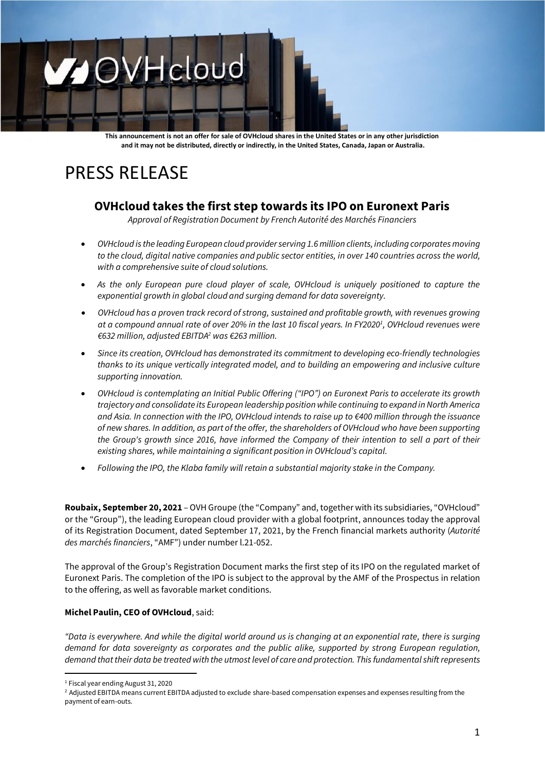# OVHcloud

**This announcement is not an offer for sale of OVHcloud shares in the United States or in any other jurisdiction and it may not be distributed, directly or indirectly, in the United States, Canada, Japan or Australia.**

## PRESS RELEASE

### **OVHcloud takes the first step towards its IPO on Euronext Paris**

*Approval of Registration Document by French Autorité des Marchés Financiers*

- *OVHcloud is the leading European cloud provider serving 1.6million clients, including corporates moving to the cloud, digital native companies and public sector entities, in over 140 countries across the world, with a comprehensive suite of cloud solutions.*
- *As the only European pure cloud player of scale, OVHcloud is uniquely positioned to capture the exponential growth in global cloud and surging demand for data sovereignty.*
- *OVHcloud has a proven track record of strong, sustained and profitable growth, with revenues growing at a compound annual rate of over 20% in the last 10 fiscal years. In FY2020<sup>1</sup> , OVHcloud revenues were €632 million, adjusted EBITDA<sup>2</sup> was €263 million.*
- *Since its creation, OVHcloud has demonstrated its commitment to developing eco-friendly technologies thanks to its unique vertically integrated model, and to building an empowering and inclusive culture supporting innovation.*
- *OVHcloud is contemplating an Initial Public Offering ("IPO") on Euronext Paris to accelerate its growth trajectory and consolidate its European leadership position while continuing to expand in North America and Asia. In connection with the IPO, OVHcloud intends to raise up to €400 million through the issuance of new shares. In addition, as part of the offer, the shareholders of OVHcloud who have been supporting the Group's growth since 2016, have informed the Company of their intention to sell a part of their existing shares, while maintaining a significant position in OVHcloud's capital.*
- *Following the IPO, the Klaba family will retain a substantial majority stake in the Company.*

**Roubaix, September 20, 2021** – OVH Groupe (the "Company" and, together with its subsidiaries, "OVHcloud" or the "Group"), the leading European cloud provider with a global footprint, announces today the approval of its Registration Document, dated September 17, 2021, by the French financial markets authority (*Autorité des marchés financiers*, "AMF") under number l.21-052.

The approval of the Group's Registration Document marks the first step of its IPO on the regulated market of Euronext Paris. The completion of the IPO is subject to the approval by the AMF of the Prospectus in relation to the offering, as well as favorable market conditions.

#### **Michel Paulin, CEO of OVHcloud**, said:

*"Data is everywhere. And while the digital world around us is changing at an exponential rate, there is surging demand for data sovereignty as corporates and the public alike, supported by strong European regulation, demand that their data be treated with the utmost level of care and protection. This fundamental shift represents* 

<sup>1</sup> Fiscal year ending August 31, 2020

<sup>&</sup>lt;sup>2</sup> Adjusted EBITDA means current EBITDA adjusted to exclude share-based compensation expenses and expenses resulting from the payment of earn-outs.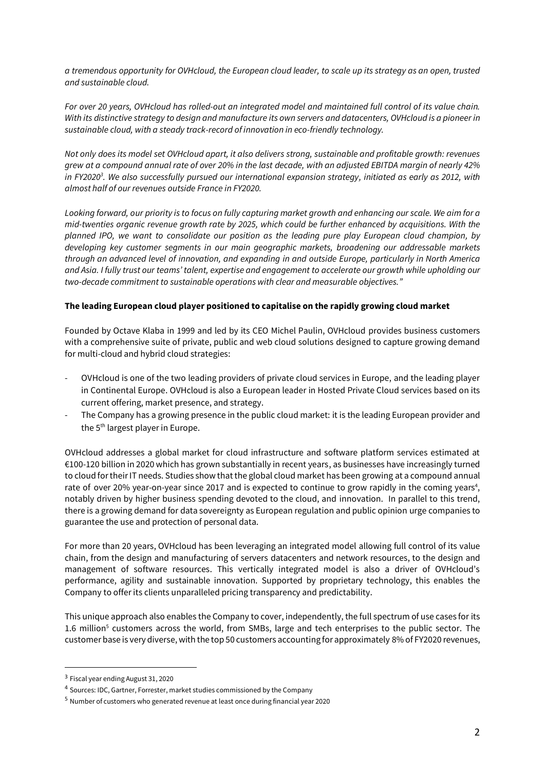*a tremendous opportunity for OVHcloud, the European cloud leader, to scale up its strategy as an open, trusted and sustainable cloud.*

*For over 20 years, OVHcloud has rolled-out an integrated model and maintained full control of its value chain. With its distinctive strategy to design and manufacture its own servers and datacenters, OVHcloud is a pioneer in sustainable cloud, with a steady track-record of innovation in eco-friendly technology.*

*Not only does its model set OVHcloud apart, it also delivers strong, sustainable and profitable growth: revenues grew at a compound annual rate of over 20% in the last decade, with an adjusted EBITDA margin of nearly 42% in FY2020<sup>3</sup> . We also successfully pursued our international expansion strategy, initiated as early as 2012, with almost half of our revenues outside France in FY2020.*

*Looking forward, our priority is to focus on fully capturing market growth and enhancing our scale. We aim for a mid-twenties organic revenue growth rate by 2025, which could be further enhanced by acquisitions. With the planned IPO, we want to consolidate our position as the leading pure play European cloud champion, by developing key customer segments in our main geographic markets, broadening our addressable markets through an advanced level of innovation, and expanding in and outside Europe, particularly in North America and Asia. I fully trust our teams' talent, expertise and engagement to accelerate our growth while upholding our two-decade commitment to sustainable operations with clear and measurable objectives."*

#### **The leading European cloud player positioned to capitalise on the rapidly growing cloud market**

Founded by Octave Klaba in 1999 and led by its CEO Michel Paulin, OVHcloud provides business customers with a comprehensive suite of private, public and web cloud solutions designed to capture growing demand for multi-cloud and hybrid cloud strategies:

- OVHcloud is one of the two leading providers of private cloud services in Europe, and the leading player in Continental Europe. OVHcloud is also a European leader in Hosted Private Cloud services based on its current offering, market presence, and strategy.
- The Company has a growing presence in the public cloud market: it is the leading European provider and the 5<sup>th</sup> largest player in Europe.

OVHcloud addresses a global market for cloud infrastructure and software platform services estimated at €100-120 billion in 2020 which has grown substantially in recent years, as businesses have increasingly turned to cloud for their IT needs. Studies show that the global cloud market has been growing at a compound annual rate of over 20% year-on-year since 2017 and is expected to continue to grow rapidly in the coming years<sup>4</sup>, notably driven by higher business spending devoted to the cloud, and innovation. In parallel to this trend, there is a growing demand for data sovereignty as European regulation and public opinion urge companies to guarantee the use and protection of personal data.

For more than 20 years, OVHcloud has been leveraging an integrated model allowing full control of its value chain, from the design and manufacturing of servers datacenters and network resources, to the design and management of software resources. This vertically integrated model is also a driver of OVHcloud's performance, agility and sustainable innovation. Supported by proprietary technology, this enables the Company to offer its clients unparalleled pricing transparency and predictability.

This unique approach also enables the Company to cover, independently, the full spectrum of use cases for its 1.6 million<sup>5</sup> customers across the world, from SMBs, large and tech enterprises to the public sector. The customer base is very diverse, with the top 50 customers accounting for approximately 8% of FY2020 revenues,

<sup>&</sup>lt;sup>3</sup> Fiscal year ending August 31, 2020

<sup>4</sup> Sources: IDC, Gartner, Forrester, market studies commissioned by the Company

<sup>5</sup> Number of customers who generated revenue at least once during financial year 2020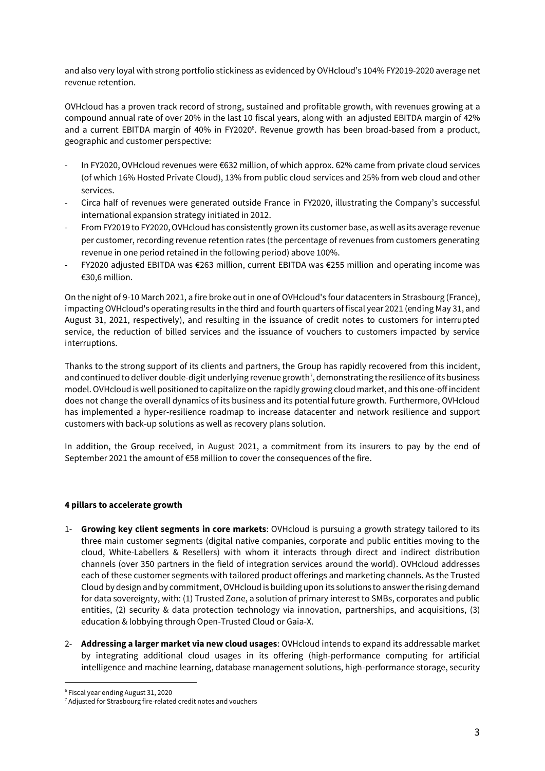and also very loyal with strong portfolio stickiness as evidenced by OVHcloud's 104% FY2019-2020 average net revenue retention.

OVHcloud has a proven track record of strong, sustained and profitable growth, with revenues growing at a compound annual rate of over 20% in the last 10 fiscal years, along with an adjusted EBITDA margin of 42% and a current EBITDA margin of 40% in FY2020<sup>6</sup>. Revenue growth has been broad-based from a product, geographic and customer perspective:

- In FY2020, OVHcloud revenues were €632 million, of which approx. 62% came from private cloud services (of which 16% Hosted Private Cloud), 13% from public cloud services and 25% from web cloud and other services.
- Circa half of revenues were generated outside France in FY2020, illustrating the Company's successful international expansion strategy initiated in 2012.
- From FY2019 to FY2020, OVHcloud has consistently grown its customer base, as well as its average revenue per customer, recording revenue retention rates (the percentage of revenues from customers generating revenue in one period retained in the following period) above 100%.
- FY2020 adjusted EBITDA was €263 million, current EBITDA was €255 million and operating income was €30,6 million.

On the night of 9-10 March 2021, a fire broke out in one of OVHcloud's four datacenters in Strasbourg (France), impacting OVHcloud's operating results in the third and fourth quarters of fiscal year 2021 (ending May 31, and August 31, 2021, respectively), and resulting in the issuance of credit notes to customers for interrupted service, the reduction of billed services and the issuance of vouchers to customers impacted by service interruptions.

Thanks to the strong support of its clients and partners, the Group has rapidly recovered from this incident, and continued to deliver double-digit underlying revenue growth<sup>7</sup>, demonstrating the resilience of its business model. OVHcloud is well positioned to capitalize on the rapidly growing cloud market, and this one-off incident does not change the overall dynamics of its business and its potential future growth. Furthermore, OVHcloud has implemented a hyper-resilience roadmap to increase datacenter and network resilience and support customers with back-up solutions as well as recovery plans solution.

In addition, the Group received, in August 2021, a commitment from its insurers to pay by the end of September 2021 the amount of €58 million to cover the consequences of the fire.

#### **4 pillars to accelerate growth**

- 1- **Growing key client segments in core markets**: OVHcloud is pursuing a growth strategy tailored to its three main customer segments (digital native companies, corporate and public entities moving to the cloud, White-Labellers & Resellers) with whom it interacts through direct and indirect distribution channels (over 350 partners in the field of integration services around the world). OVHcloud addresses each of these customer segments with tailored product offerings and marketing channels. As the Trusted Cloud by design and by commitment, OVHcloud is building upon its solutions to answer the rising demand for data sovereignty, with: (1) Trusted Zone, a solution of primary interest to SMBs, corporates and public entities, (2) security & data protection technology via innovation, partnerships, and acquisitions, (3) education & lobbying through Open-Trusted Cloud or Gaia-X.
- 2- **Addressing a larger market via new cloud usages**: OVHcloud intends to expand its addressable market by integrating additional cloud usages in its offering (high-performance computing for artificial intelligence and machine learning, database management solutions, high-performance storage, security

<sup>6</sup> Fiscal year ending August 31, 2020

<sup>&</sup>lt;sup>7</sup> Adjusted for Strasbourg fire-related credit notes and vouchers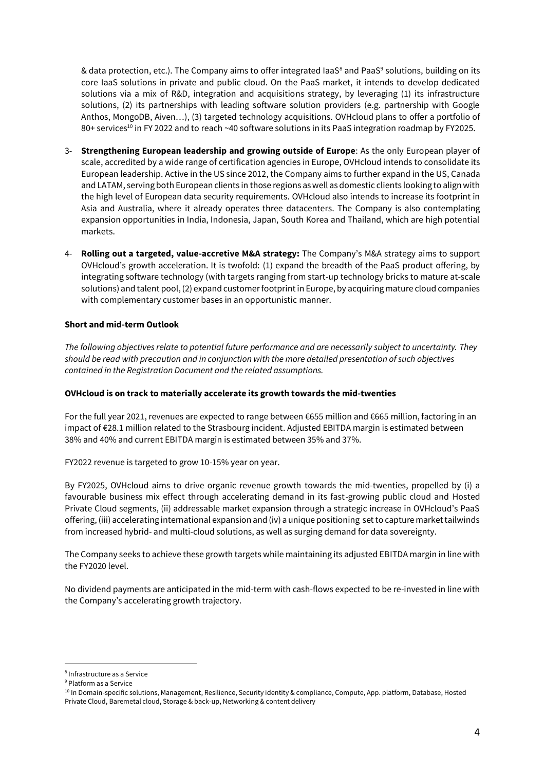& data protection, etc.). The Company aims to offer integrated IaaS<sup>8</sup> and PaaS<sup>9</sup> solutions, building on its core IaaS solutions in private and public cloud. On the PaaS market, it intends to develop dedicated solutions via a mix of R&D, integration and acquisitions strategy, by leveraging (1) its infrastructure solutions, (2) its partnerships with leading software solution providers (e.g. partnership with Google Anthos, MongoDB, Aiven…), (3) targeted technology acquisitions. OVHcloud plans to offer a portfolio of 80+ services<sup>10</sup> in FY 2022 and to reach ~40 software solutions in its PaaS integration roadmap by FY2025.

- 3- **Strengthening European leadership and growing outside of Europe**: As the only European player of scale, accredited by a wide range of certification agencies in Europe, OVHcloud intends to consolidate its European leadership. Active in the US since 2012, the Company aims to further expand in the US, Canada and LATAM, serving both European clients in those regions as well as domestic clients looking to align with the high level of European data security requirements. OVHcloud also intends to increase its footprint in Asia and Australia, where it already operates three datacenters. The Company is also contemplating expansion opportunities in India, Indonesia, Japan, South Korea and Thailand, which are high potential markets.
- 4- **Rolling out a targeted, value-accretive M&A strategy:** The Company's M&A strategy aims to support OVHcloud's growth acceleration. It is twofold: (1) expand the breadth of the PaaS product offering, by integrating software technology (with targets ranging from start-up technology bricks to mature at-scale solutions) and talent pool, (2) expand customer footprint in Europe, by acquiring mature cloud companies with complementary customer bases in an opportunistic manner.

#### **Short and mid-term Outlook**

*The following objectives relate to potential future performance and are necessarily subject to uncertainty. They should be read with precaution and in conjunction with the more detailed presentation of such objectives contained in the Registration Document and the related assumptions.*

#### **OVHcloud is on track to materially accelerate its growth towards the mid-twenties**

For the full year 2021, revenues are expected to range between €655 million and €665 million, factoring in an impact of €28.1 million related to the Strasbourg incident. Adjusted EBITDA margin is estimated between 38% and 40% and current EBITDA margin is estimated between 35% and 37%.

FY2022 revenue is targeted to grow 10-15% year on year.

By FY2025, OVHcloud aims to drive organic revenue growth towards the mid-twenties, propelled by (i) a favourable business mix effect through accelerating demand in its fast-growing public cloud and Hosted Private Cloud segments, (ii) addressable market expansion through a strategic increase in OVHcloud's PaaS offering,(iii) accelerating international expansion and (iv) a unique positioning set to capture market tailwinds from increased hybrid- and multi-cloud solutions, as well as surging demand for data sovereignty.

The Company seeks to achieve these growth targets while maintaining its adjusted EBITDA margin in line with the FY2020 level.

No dividend payments are anticipated in the mid-term with cash-flows expected to be re-invested in line with the Company's accelerating growth trajectory.

<sup>8</sup> Infrastructure as a Service

<sup>9</sup> Platform as a Service

<sup>10</sup> In Domain-specific solutions, Management, Resilience, Security identity & compliance, Compute, App. platform, Database, Hosted Private Cloud, Baremetal cloud, Storage & back-up, Networking & content delivery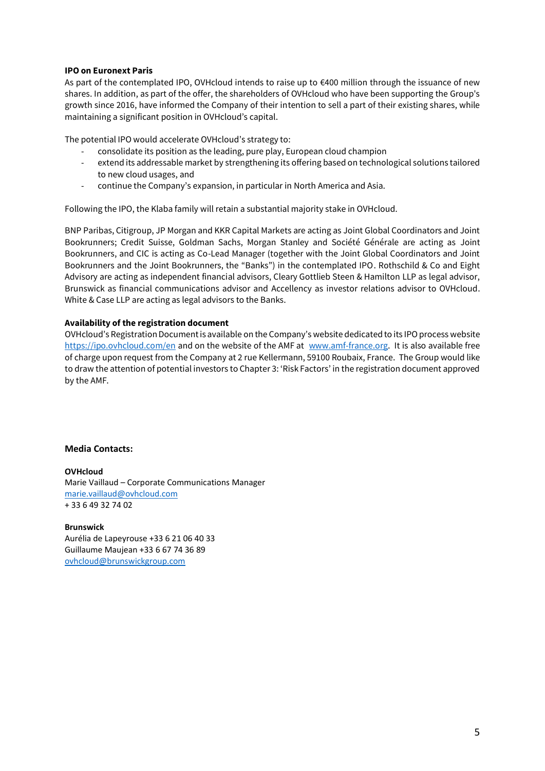#### **IPO on Euronext Paris**

As part of the contemplated IPO, OVHcloud intends to raise up to €400 million through the issuance of new shares. In addition, as part of the offer, the shareholders of OVHcloud who have been supporting the Group's growth since 2016, have informed the Company of their intention to sell a part of their existing shares, while maintaining a significant position in OVHcloud's capital.

The potential IPO would accelerate OVHcloud's strategy to:

- consolidate its position as the leading, pure play, European cloud champion
- extend its addressable market by strengthening its offering based on technological solutions tailored to new cloud usages, and
- continue the Company's expansion, in particular in North America and Asia.

Following the IPO, the Klaba family will retain a substantial majority stake in OVHcloud.

BNP Paribas, Citigroup, JP Morgan and KKR Capital Markets are acting as Joint Global Coordinators and Joint Bookrunners; Credit Suisse, Goldman Sachs, Morgan Stanley and Société Générale are acting as Joint Bookrunners, and CIC is acting as Co-Lead Manager (together with the Joint Global Coordinators and Joint Bookrunners and the Joint Bookrunners, the "Banks") in the contemplated IPO. Rothschild & Co and Eight Advisory are acting as independent financial advisors, Cleary Gottlieb Steen & Hamilton LLP as legal advisor, Brunswick as financial communications advisor and Accellency as investor relations advisor to OVHcloud. White & Case LLP are acting as legal advisors to the Banks.

#### **Availability of the registration document**

OVHcloud's Registration Document is available on the Company's website dedicated to its IPO process website <https://ipo.ovhcloud.com/en> and on the website of the AMF at [www.amf-france.org.](http://www.amf-france.org/) It is also available free of charge upon request from the Company at 2 rue Kellermann, 59100 Roubaix, France. The Group would like to draw the attention of potential investors to Chapter 3: 'Risk Factors' in the registration document approved by the AMF.

#### **Media Contacts:**

**OVHcloud** Marie Vaillaud – Corporate Communications Manager [marie.vaillaud@ovhcloud.com](mailto:marie.vaillaud@ovhcloud.com)  + 33 6 49 32 74 02

**Brunswick** Aurélia de Lapeyrouse +33 6 21 06 40 33 Guillaume Maujean +33 6 67 74 36 89 [ovhcloud@brunswickgroup.com](mailto:ovhcloud@brunswickgroup.com)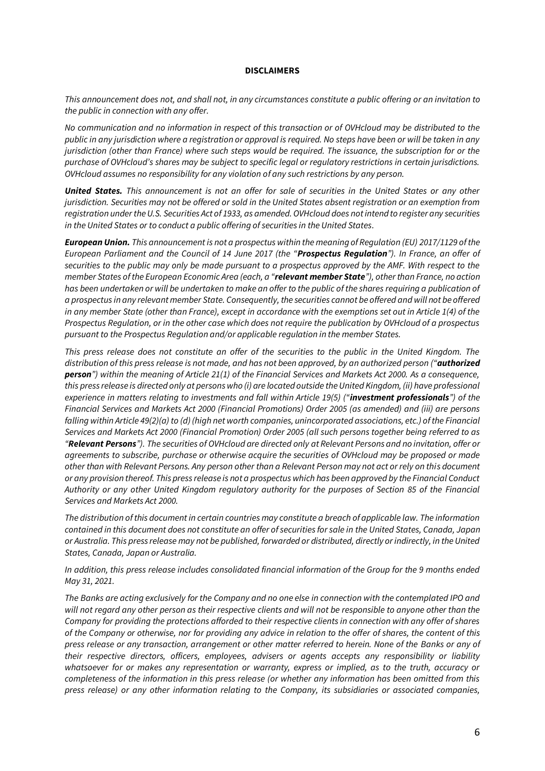#### **DISCLAIMERS**

*This announcement does not, and shall not, in any circumstances constitute a public offering or an invitation to the public in connection with any offer.*

*No communication and no information in respect of this transaction or of OVHcloud may be distributed to the public in any jurisdiction where a registration or approval is required. No steps have been or will be taken in any jurisdiction (other than France) where such steps would be required. The issuance, the subscription for or the purchase of OVHcloud's shares may be subject to specific legal or regulatory restrictions in certain jurisdictions. OVHcloud assumes no responsibility for any violation of any such restrictions by any person.*

*United States. This announcement is not an offer for sale of securities in the United States or any other jurisdiction. Securities may not be offered or sold in the United States absent registration or an exemption from registration under the U.S. Securities Act of 1933, as amended. OVHcloud does not intend to register any securities in the United States or to conduct a public offering of securities in the United States.*

*European Union. This announcement is not a prospectus within the meaning of Regulation (EU) 2017/1129 of the European Parliament and the Council of 14 June 2017 (the "Prospectus Regulation"). In France, an offer of securities to the public may only be made pursuant to a prospectus approved by the AMF. With respect to the member States of the European Economic Area (each, a "relevant member State"), other than France, no action has been undertaken or will be undertaken to make an offer to the public of the shares requiring a publication of a prospectus in any relevant member State. Consequently, the securities cannot be offered and will not be offered in any member State (other than France), except in accordance with the exemptions set out in Article 1(4) of the Prospectus Regulation, or in the other case which does not require the publication by OVHcloud of a prospectus pursuant to the Prospectus Regulation and/or applicable regulation in the member States.*

*This press release does not constitute an offer of the securities to the public in the United Kingdom. The distribution of this press release is not made, and has not been approved, by an authorized person ("authorized person") within the meaning of Article 21(1) of the Financial Services and Markets Act 2000. As a consequence, this press release is directed only at persons who (i) are located outside the United Kingdom, (ii) have professional experience in matters relating to investments and fall within Article 19(5) ("investment professionals") of the Financial Services and Markets Act 2000 (Financial Promotions) Order 2005 (as amended) and (iii) are persons falling within Article 49(2)(a) to (d) (high net worth companies, unincorporated associations, etc.) of the Financial Services and Markets Act 2000 (Financial Promotion) Order 2005 (all such persons together being referred to as "Relevant Persons"). The securities of OVHcloud are directed only at Relevant Persons and no invitation, offer or agreements to subscribe, purchase or otherwise acquire the securities of OVHcloud may be proposed or made other than with Relevant Persons. Any person other than a Relevant Person may not act or rely on this document or any provision thereof. This press release is not a prospectus which has been approved by the Financial Conduct Authority or any other United Kingdom regulatory authority for the purposes of Section 85 of the Financial Services and Markets Act 2000.*

*The distribution of this document in certain countries may constitute a breach of applicable law. The information contained in this document does not constitute an offer of securities for sale in the United States, Canada, Japan or Australia. This press release may not be published, forwarded or distributed, directly or indirectly, in the United States, Canada, Japan or Australia.*

*In addition, this press release includes consolidated financial information of the Group for the 9 months ended May 31, 2021.*

*The Banks are acting exclusively for the Company and no one else in connection with the contemplated IPO and will not regard any other person as their respective clients and will not be responsible to anyone other than the Company for providing the protections afforded to their respective clients in connection with any offer of shares of the Company or otherwise, nor for providing any advice in relation to the offer of shares, the content of this press release or any transaction, arrangement or other matter referred to herein. None of the Banks or any of their respective directors, officers, employees, advisers or agents accepts any responsibility or liability whatsoever for or makes any representation or warranty, express or implied, as to the truth, accuracy or completeness of the information in this press release (or whether any information has been omitted from this press release) or any other information relating to the Company, its subsidiaries or associated companies,*